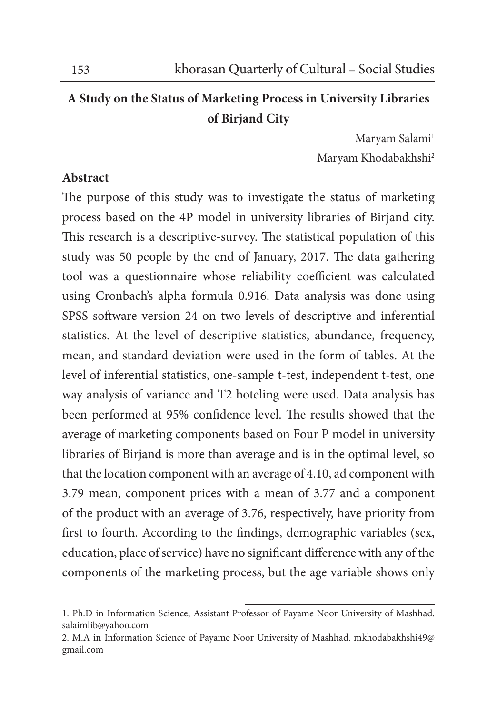## **A Study on the Status of Marketing Process in University Libraries of Birjand City**

Maryam Salami<sup>1</sup> Maryam Khodabakhshi2

## **Abstract**

The purpose of this study was to investigate the status of marketing process based on the 4P model in university libraries of Birjand city. This research is a descriptive-survey. The statistical population of this study was 50 people by the end of January, 2017. The data gathering tool was a questionnaire whose reliability coefficient was calculated using Cronbach's alpha formula 0.916. Data analysis was done using SPSS software version 24 on two levels of descriptive and inferential statistics. At the level of descriptive statistics, abundance, frequency, mean, and standard deviation were used in the form of tables. At the level of inferential statistics, one-sample t-test, independent t-test, one way analysis of variance and T2 hoteling were used. Data analysis has been performed at 95% confidence level. The results showed that the average of marketing components based on Four P model in university libraries of Birjand is more than average and is in the optimal level, so that the location component with an average of 4.10, ad component with 3.79 mean, component prices with a mean of 3.77 and a component of the product with an average of 3.76, respectively, have priority from first to fourth. According to the findings, demographic variables (sex, education, place of service) have no significant difference with any of the components of the marketing process, but the age variable shows only

<sup>1.</sup> Ph.D in Information Science, Assistant Professor of Payame Noor University of Mashhad. salaimlib@yahoo.com

<sup>2.</sup> M.A in Information Science of Payame Noor University of Mashhad. mkhodabakhshi49@ gmail.com